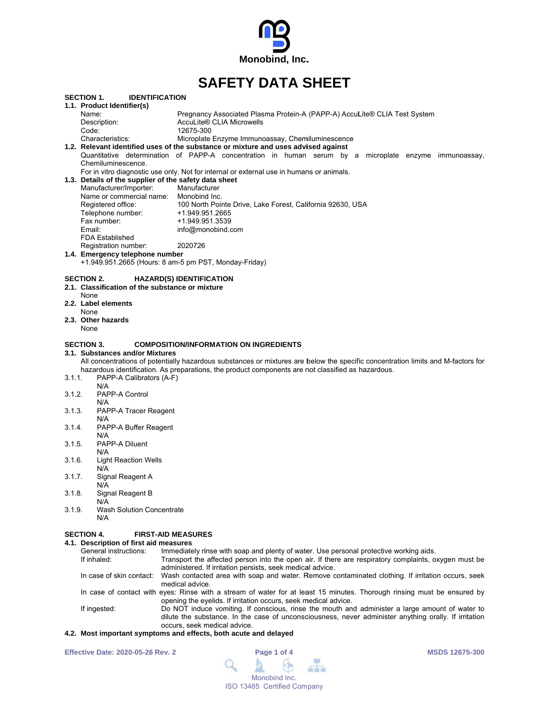

# **SAFFTY DATA SHFFT**

|        | SECTION 1.<br><b>IDENTIFICATION</b>                   |                                                                                                                                  |
|--------|-------------------------------------------------------|----------------------------------------------------------------------------------------------------------------------------------|
|        | 1.1. Product Identifier(s)                            |                                                                                                                                  |
|        | Name:                                                 | Pregnancy Associated Plasma Protein-A (PAPP-A) AccuLite® CLIA Test System                                                        |
|        | Description:                                          | AccuLite® CLIA Microwells                                                                                                        |
|        | Code:                                                 | 12675-300                                                                                                                        |
|        | Characteristics:                                      | Microplate Enzyme Immunoassay, Chemiluminescence                                                                                 |
|        |                                                       | 1.2. Relevant identified uses of the substance or mixture and uses advised against                                               |
|        |                                                       | Quantitative determination of PAPP-A concentration in human serum by a microplate enzyme immunoassay,                            |
|        | Chemiluminescence.                                    |                                                                                                                                  |
|        |                                                       | For in vitro diagnostic use only. Not for internal or external use in humans or animals.                                         |
|        | 1.3. Details of the supplier of the safety data sheet |                                                                                                                                  |
|        | Manufacturer/Importer:                                | Manufacturer                                                                                                                     |
|        | Name or commercial name: Monobind Inc.                |                                                                                                                                  |
|        | Registered office:                                    | 100 North Pointe Drive, Lake Forest, California 92630, USA                                                                       |
|        | Telephone number:                                     | +1.949.951.2665                                                                                                                  |
|        | Fax number:                                           | +1.949.951.3539                                                                                                                  |
|        | Email:                                                | info@monobind.com                                                                                                                |
|        | <b>FDA Established</b>                                |                                                                                                                                  |
|        | Registration number:                                  | 2020726                                                                                                                          |
|        | 1.4. Emergency telephone number                       |                                                                                                                                  |
|        |                                                       | +1.949.951.2665 (Hours: 8 am-5 pm PST, Monday-Friday)                                                                            |
|        |                                                       |                                                                                                                                  |
|        | <b>SECTION 2.</b>                                     | <b>HAZARD(S) IDENTIFICATION</b>                                                                                                  |
|        | 2.1. Classification of the substance or mixture       |                                                                                                                                  |
|        | None                                                  |                                                                                                                                  |
|        | 2.2. Label elements                                   |                                                                                                                                  |
|        | None                                                  |                                                                                                                                  |
|        | 2.3. Other hazards                                    |                                                                                                                                  |
|        | None                                                  |                                                                                                                                  |
|        |                                                       |                                                                                                                                  |
|        | <b>SECTION 3.</b>                                     | <b>COMPOSITION/INFORMATION ON INGREDIENTS</b>                                                                                    |
|        | 3.1. Substances and/or Mixtures                       |                                                                                                                                  |
|        |                                                       | All concentrations of potentially hazardous substances or mixtures are below the specific concentration limits and M-factors for |
|        |                                                       | hazardous identification. As preparations, the product components are not classified as hazardous.                               |
| 3.1.1. | PAPP-A Calibrators (A-F)                              |                                                                                                                                  |
|        | N/A                                                   |                                                                                                                                  |
| 3.1.2. | PAPP-A Control                                        |                                                                                                                                  |
|        | N/A                                                   |                                                                                                                                  |
| 3.1.3. | PAPP-A Tracer Reagent                                 |                                                                                                                                  |
|        | N/A                                                   |                                                                                                                                  |
| 3.1.4. | PAPP-A Buffer Reagent                                 |                                                                                                                                  |
|        | N/A                                                   |                                                                                                                                  |
| 3.1.5. | PAPP-A Diluent                                        |                                                                                                                                  |
|        | N/A                                                   |                                                                                                                                  |
| 3.1.6. | <b>Light Reaction Wells</b>                           |                                                                                                                                  |
|        | N/A                                                   |                                                                                                                                  |
| 3.1.7. | Signal Reagent A                                      |                                                                                                                                  |
|        | N/A                                                   |                                                                                                                                  |
| 3.1.8. | Signal Reagent B                                      |                                                                                                                                  |
|        | N/A                                                   |                                                                                                                                  |
| 3.1.9. | <b>Wash Solution Concentrate</b>                      |                                                                                                                                  |
|        | N/A                                                   |                                                                                                                                  |
|        |                                                       |                                                                                                                                  |
|        | SECTION 4.                                            | <b>FIRST-AID MEASURES</b>                                                                                                        |
|        | 4.1. Description of first aid measures                |                                                                                                                                  |
|        | General instructions:<br>If inhaled:                  | Immediately rinse with soap and plenty of water. Use personal protective working aids.                                           |
|        |                                                       | Transport the affected person into the open air. If there are respiratory complaints, oxygen must be                             |
|        |                                                       | administered. If irritation persists, seek medical advice.                                                                       |
|        |                                                       |                                                                                                                                  |
|        | In case of skin contact:                              | Wash contacted area with soap and water. Remove contaminated clothing. If irritation occurs, seek<br>medical advice.             |

In case of contact with eyes: Rinse with a stream of water for at least 15 minutes. Thorough rinsing must be ensured by opening the eyelids. If irritation occurs, seek medical advice.

If ingested: Do NOT induce vomiting. If conscious, rinse the mouth and administer a large amount of water to dilute the substance. In the case of unconsciousness, never administer anything orally. If irritation occurs, seek medical advice.

# 4.2. Most important symptoms and effects, both acute and delayed

**Effective Date: 2020-05-26 Rev. 2** 

| Page 1 of 4   |  |                             |  |  |  |  |
|---------------|--|-----------------------------|--|--|--|--|
|               |  |                             |  |  |  |  |
| Monobind Inc. |  |                             |  |  |  |  |
|               |  | ISO 13485 Certified Company |  |  |  |  |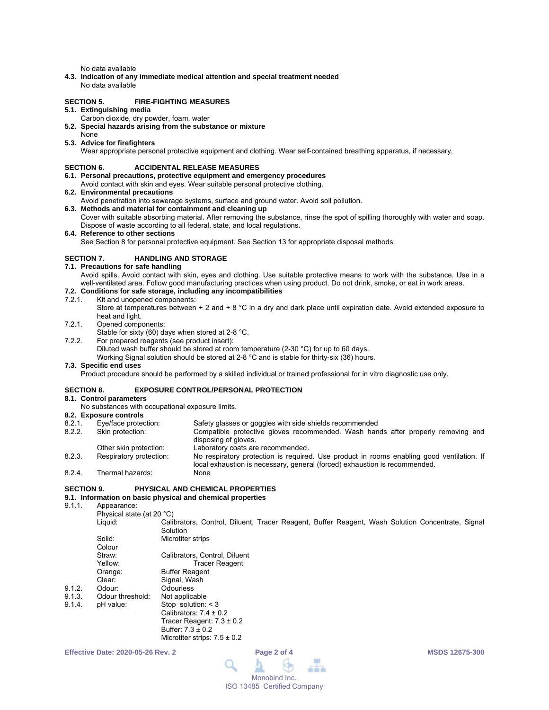No data available

4.3. Indication of any immediate medical attention and special treatment needed No data available

#### **SECTION 5. FIRE-FIGHTING MEASURES**

# 5.1. Extinguishing media

- Carbon dioxide, dry powder, foam, water
- 5.2. Special hazards arising from the substance or mixture
- None

# 5.3. Advice for firefighters

Wear appropriate personal protective equipment and clothing. Wear self-contained breathing apparatus, if necessary.

#### **SECTION 6. ACCIDENTAL RELEASE MEASURES**

- 6.1. Personal precautions, protective equipment and emergency procedures
- Avoid contact with skin and eyes. Wear suitable personal protective clothing.

### 6.2. Environmental precautions

- Avoid penetration into sewerage systems, surface and ground water. Avoid soil pollution.
- 6.3. Methods and material for containment and cleaning up

Cover with suitable absorbing material. After removing the substance, rinse the spot of spilling thoroughly with water and soap. Dispose of waste according to all federal, state, and local regulations.

6.4. Reference to other sections

See Section 8 for personal protective equipment. See Section 13 for appropriate disposal methods.

#### **SECTION 7. HANDLING AND STORAGE**

### 7.1. Precautions for safe handling

Avoid spills. Avoid contact with skin, eyes and clothing. Use suitable protective means to work with the substance. Use in a well-ventilated area. Follow good manufacturing practices when using product. Do not drink, smoke, or eat in work areas.

# 7.2. Conditions for safe storage, including any incompatibilities

- 721 Kit and unopened components:
	- Store at temperatures between + 2 and + 8  $^{\circ}$ C in a dry and dark place until expiration date. Avoid extended exposure to heat and light.
- $7.2.1.$ Opened components:
	- Stable for sixty (60) days when stored at 2-8 °C.
- $7.2.2.$ For prepared reagents (see product insert):

Diluted wash buffer should be stored at room temperature (2-30 °C) for up to 60 days.

Working Signal solution should be stored at 2-8 °C and is stable for thirty-six (36) hours.

### 7.3. Specific end uses

Product procedure should be performed by a skilled individual or trained professional for in vitro diagnostic use only.

#### **SECTION 8. EXPOSURE CONTROL/PERSONAL PROTECTION**

### 8.1. Control parameters

No substances with occupational exposure limits.

### 8.2. Exposure controls

| 8.2.1. | Eye/face protection:    | Safety glasses or goggles with side shields recommended                                                                                                                 |
|--------|-------------------------|-------------------------------------------------------------------------------------------------------------------------------------------------------------------------|
| 8.2.2. | Skin protection:        | Compatible protective gloves recommended. Wash hands after properly removing and                                                                                        |
|        |                         | disposing of gloves.                                                                                                                                                    |
|        | Other skin protection:  | Laboratory coats are recommended.                                                                                                                                       |
| 8.2.3. | Respiratory protection: | No respiratory protection is required. Use product in rooms enabling good ventilation. If<br>local exhaustion is necessary, general (forced) exhaustion is recommended. |
| 8.2.4. | Thermal hazards:        | None                                                                                                                                                                    |

#### **SECTION 9.** PHYSICAL AND CHEMICAL PROPERTIES

### 9.1. Information on basic physical and chemical properties

911 Appearance: Liquid:

 $9.1.2.$  $9.1.3.$ 914

Physical state (at 20 °C)

Calibrators, Control, Diluent, Tracer Reagent, Buffer Reagent, Wash Solution Concentrate, Signal Solution

| Solid:           | Microtiter strips             |
|------------------|-------------------------------|
| Colour           |                               |
| Straw:           | Calibrators, Control, Diluent |
| Yellow:          | <b>Tracer Reagent</b>         |
| Orange:          | <b>Buffer Reagent</b>         |
| Clear:           | Signal, Wash                  |
| Odour:           | Odourless                     |
| Odour threshold: | Not applicable                |
| pH value:        | Stop solution: $<$ 3          |
|                  | Calibrators: $7.4 \pm 0.2$    |
|                  | Tracer Reagent: $7.3 \pm 0.2$ |
|                  | Buffer: 7.3 ± 0.2             |

Microtiter strips:  $7.5 \pm 0.2$ 



**MSDS 12675-300**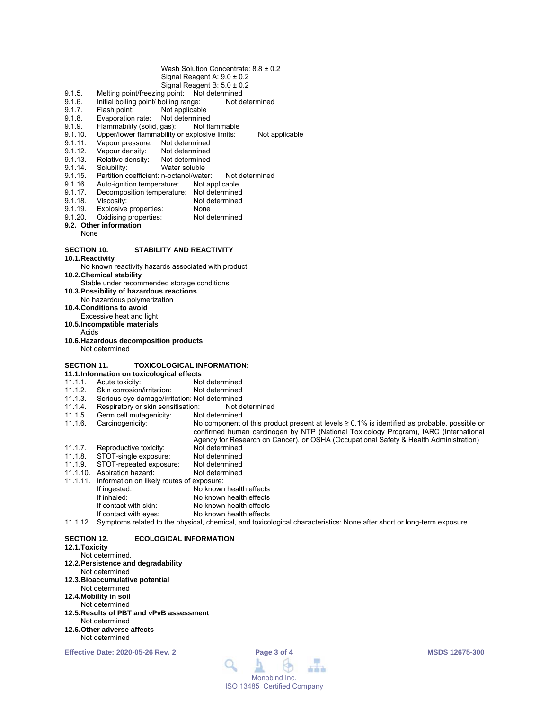- Wash Solution Concentrate:  $8.8 \pm 0.2$ Signal Reagent A:  $9.0 \pm 0.2$
- Signal Reagent B:  $5.0 \pm 0.2$
- Melting point/freezing point: Not determined  $9.1.5.$
- $9.1.6.$ Initial boiling point/ boiling range: Not determined
- $9.1.7.$ Not applicable Flash point:
- $9.1.8.$ Evaporation rate: Not determined Flammability (solid, gas):  $9.1.9.$
- Not flammable  $9.1.10.$ Upper/lower flammability or explosive limits: Not applicable
- $9.1.11$ . Vapour pressure: Not determined
- $9.1.12.$ Vapour density: Not determined
- Relative density:  $9.1.13.$ Not determined
- $9.1.14.$ Solubility: Water soluble
- Partition coefficient: n-octanol/water: 9.1.15. Not determined
- 9.1.16. Auto-ignition temperature: Not applicable
- $9.1.17.$ Decomposition temperature: Not determined
- $9.1.18.$ Viscosity: Not determined None
- 9.1.19 Explosive properties:
- $9.1.20.$ Oxidising properties: Not determined
- 9.2. Other information
- **None**

#### **SECTION 10. STABILITY AND REACTIVITY**

10.1. Reactivity

No known reactivity hazards associated with product

10.2. Chemical stability

- Stable under recommended storage conditions
- 10.3. Possibility of hazardous reactions
- No hazardous polymerization
- 10.4. Conditions to avoid
- Excessive heat and light
- 10.5.Incompatible materials
- Acids
- 10.6. Hazardous decomposition products Not determined

### **SECTION 11.**

### **TOXICOLOGICAL INFORMATION:** 11.1.Information on toxicological effects

- $1111$ Acute toxicity: Not determined
- $11.1.2.$ Skin corrosion/irritation: Not determined
- Serious eye damage/irritation: Not determined  $11.1.3.$
- $11.1.4.$ Respiratory or skin sensitisation: Not determined
- Germ cell mutagenicity:  $11.1.5.$ Not determined
- $11.1.6.$ Carcinogenicity: No component of this product present at levels  $\geq 0.1\%$  is identified as probable, possible or confirmed human carcinogen by NTP (National Toxicology Program), IARC (International Agency for Research on Cancer), or OSHA (Occupational Safety & Health Administration)  $11.1.7.$ Reproductive toxicity: Not determined
- $11.1.8.$ STOT-single exposure: Not determined
- 11.1.9. STOT-repeated exposure: Not determined
- 11.1.5. CTOT-repeated ex-Not determined
- 11.1.11. Information on likely routes of exposure:
- No known health effects If ingested: If inhaled: No known health effects If contact with skin: No known health effects If contact with eyes: No known health effects
- 11.1.12. Symptoms related to the physical, chemical, and toxicological characteristics: None after short or long-term exposure

#### **SECTION 12. ECOLOGICAL INFORMATION**

# 12.1. Toxicity

- Not determined.
- 12.2. Persistence and degradability
- Not determined
- 12.3. Bioaccumulative potential Not determined
- 12.4. Mobility in soil
- Not determined
- 12.5. Results of PBT and vPvB assessment Not determined
- 12.6. Other adverse affects Not determined

**Effective Date: 2020-05-26 Rev. 2**